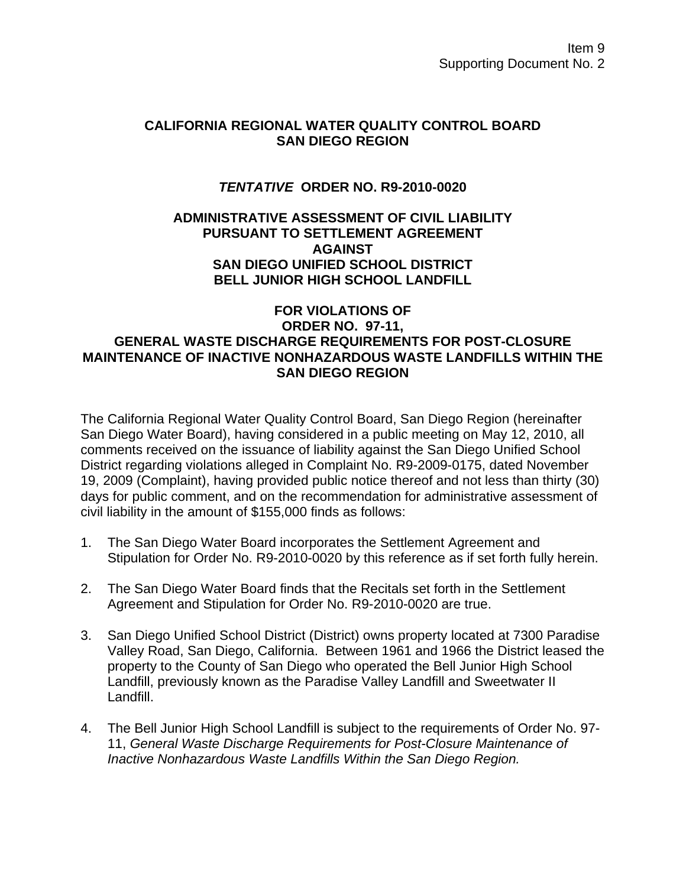# **CALIFORNIA REGIONAL WATER QUALITY CONTROL BOARD SAN DIEGO REGION**

# *TENTATIVE* **ORDER NO. R9-2010-0020**

## **ADMINISTRATIVE ASSESSMENT OF CIVIL LIABILITY PURSUANT TO SETTLEMENT AGREEMENT AGAINST SAN DIEGO UNIFIED SCHOOL DISTRICT BELL JUNIOR HIGH SCHOOL LANDFILL**

## **FOR VIOLATIONS OF ORDER NO. 97-11, GENERAL WASTE DISCHARGE REQUIREMENTS FOR POST-CLOSURE MAINTENANCE OF INACTIVE NONHAZARDOUS WASTE LANDFILLS WITHIN THE SAN DIEGO REGION**

The California Regional Water Quality Control Board, San Diego Region (hereinafter San Diego Water Board), having considered in a public meeting on May 12, 2010, all comments received on the issuance of liability against the San Diego Unified School District regarding violations alleged in Complaint No. R9-2009-0175, dated November 19, 2009 (Complaint), having provided public notice thereof and not less than thirty (30) days for public comment, and on the recommendation for administrative assessment of civil liability in the amount of \$155,000 finds as follows:

- 1. The San Diego Water Board incorporates the Settlement Agreement and Stipulation for Order No. R9-2010-0020 by this reference as if set forth fully herein.
- 2. The San Diego Water Board finds that the Recitals set forth in the Settlement Agreement and Stipulation for Order No. R9-2010-0020 are true.
- 3. San Diego Unified School District (District) owns property located at 7300 Paradise Valley Road, San Diego, California. Between 1961 and 1966 the District leased the property to the County of San Diego who operated the Bell Junior High School Landfill, previously known as the Paradise Valley Landfill and Sweetwater II Landfill.
- 4. The Bell Junior High School Landfill is subject to the requirements of Order No. 97- 11, *General Waste Discharge Requirements for Post-Closure Maintenance of Inactive Nonhazardous Waste Landfills Within the San Diego Region.*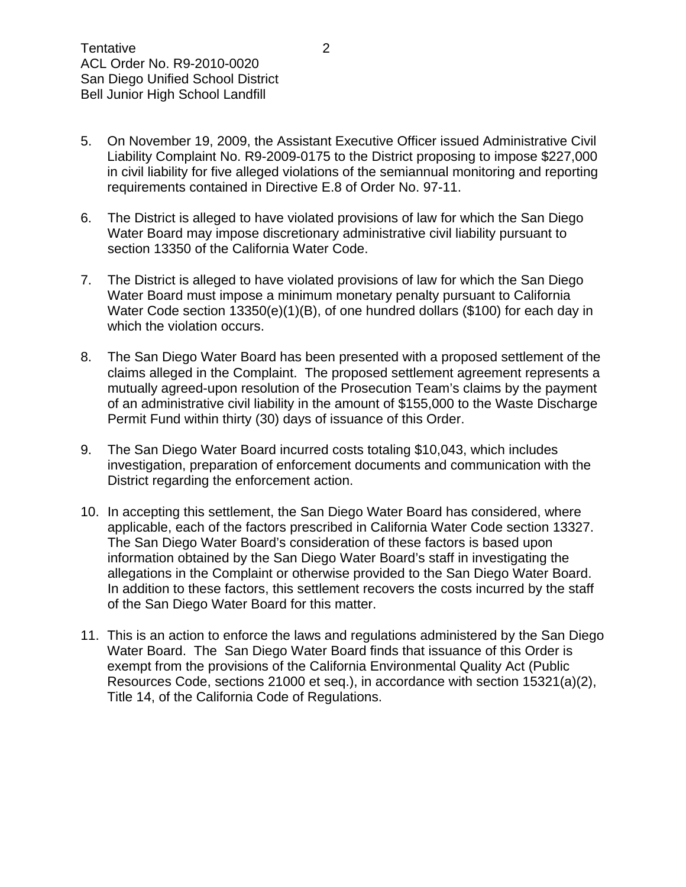- 5. On November 19, 2009, the Assistant Executive Officer issued Administrative Civil Liability Complaint No. R9-2009-0175 to the District proposing to impose \$227,000 in civil liability for five alleged violations of the semiannual monitoring and reporting requirements contained in Directive E.8 of Order No. 97-11.
- 6. The District is alleged to have violated provisions of law for which the San Diego Water Board may impose discretionary administrative civil liability pursuant to section 13350 of the California Water Code.
- 7. The District is alleged to have violated provisions of law for which the San Diego Water Board must impose a minimum monetary penalty pursuant to California Water Code section 13350(e)(1)(B), of one hundred dollars (\$100) for each day in which the violation occurs.
- 8. The San Diego Water Board has been presented with a proposed settlement of the claims alleged in the Complaint. The proposed settlement agreement represents a mutually agreed-upon resolution of the Prosecution Team's claims by the payment of an administrative civil liability in the amount of \$155,000 to the Waste Discharge Permit Fund within thirty (30) days of issuance of this Order.
- 9. The San Diego Water Board incurred costs totaling \$10,043, which includes investigation, preparation of enforcement documents and communication with the District regarding the enforcement action.
- 10. In accepting this settlement, the San Diego Water Board has considered, where applicable, each of the factors prescribed in California Water Code section 13327. The San Diego Water Board's consideration of these factors is based upon information obtained by the San Diego Water Board's staff in investigating the allegations in the Complaint or otherwise provided to the San Diego Water Board. In addition to these factors, this settlement recovers the costs incurred by the staff of the San Diego Water Board for this matter.
- 11. This is an action to enforce the laws and regulations administered by the San Diego Water Board. The San Diego Water Board finds that issuance of this Order is exempt from the provisions of the California Environmental Quality Act (Public Resources Code, sections 21000 et seq.), in accordance with section 15321(a)(2), Title 14, of the California Code of Regulations.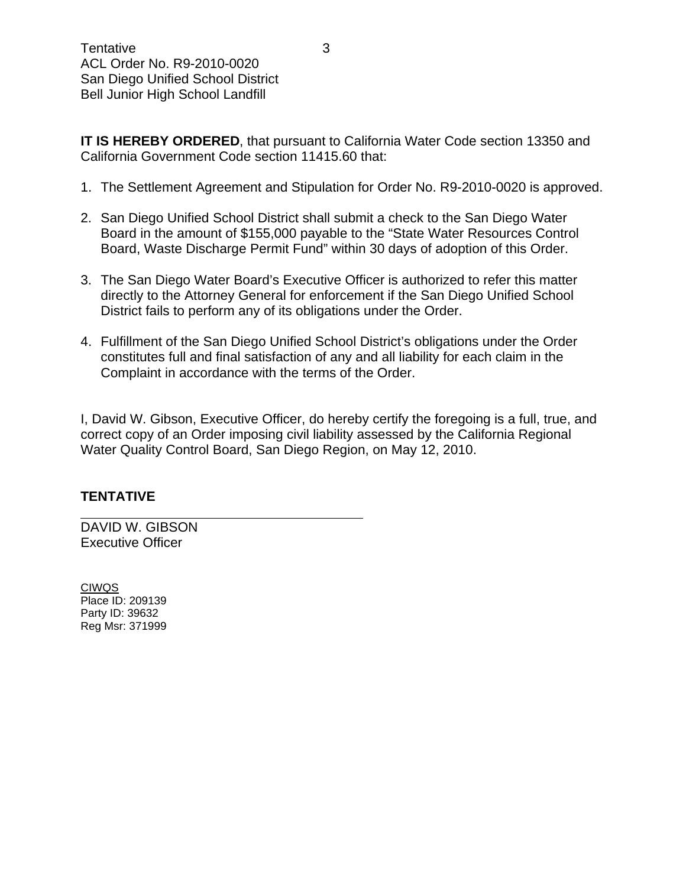**IT IS HEREBY ORDERED, that pursuant to California Water Code section 13350 and** California Government Code section 11415.60 that:

- 1. The Settlement Agreement and Stipulation for Order No. R9-2010-0020 is approved.
- 2. San Diego Unified School District shall submit a check to the San Diego Water Board in the amount of \$155,000 payable to the "State Water Resources Control Board, Waste Discharge Permit Fund" within 30 days of adoption of this Order.
- 3. The San Diego Water Board's Executive Officer is authorized to refer this matter directly to the Attorney General for enforcement if the San Diego Unified School District fails to perform any of its obligations under the Order.
- 4. Fulfillment of the San Diego Unified School District's obligations under the Order constitutes full and final satisfaction of any and all liability for each claim in the Complaint in accordance with the terms of the Order.

I, David W. Gibson, Executive Officer, do hereby certify the foregoing is a full, true, and correct copy of an Order imposing civil liability assessed by the California Regional Water Quality Control Board, San Diego Region, on May 12, 2010.

# **TENTATIVE**

 $\overline{a}$ 

DAVID W. GIBSON Executive Officer

CIWQS Place ID: 209139 Party ID: 39632 Reg Msr: 371999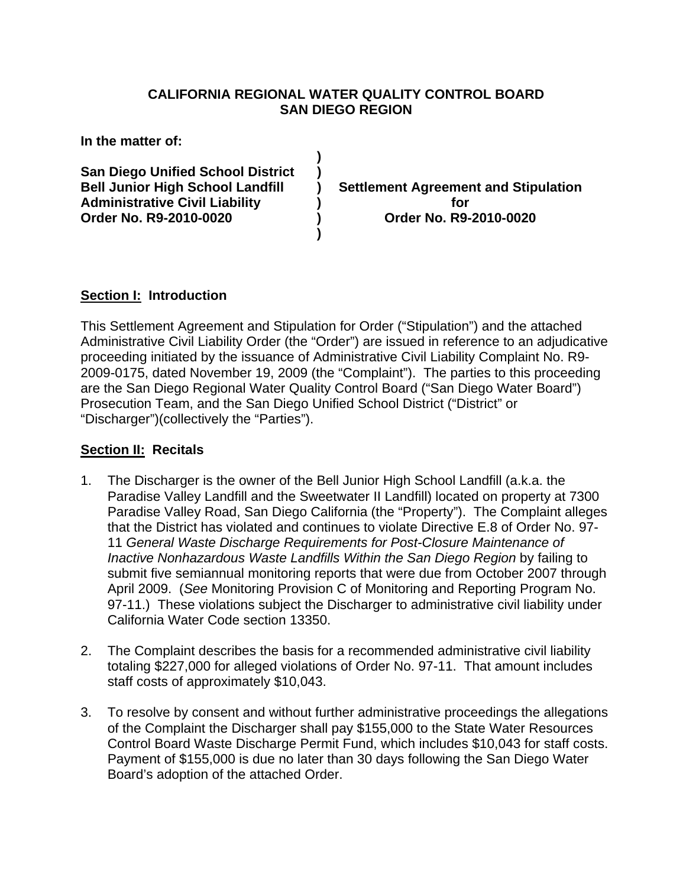# **CALIFORNIA REGIONAL WATER QUALITY CONTROL BOARD SAN DIEGO REGION**

**)** 

**)** 

**In the matter of:** 

**San Diego Unified School District )**  Administrative Civil Liability (a) a posturing the state of the state of the state of the state of the state of the state of the state of the state of the state of the state of the state of the state of the state of the st **Order No. R9-2010-0020 ) Order No. R9-2010-0020** 

**Bell Junior High School Landfill ) Settlement Agreement and Stipulation** 

# **Section I: Introduction**

This Settlement Agreement and Stipulation for Order ("Stipulation") and the attached Administrative Civil Liability Order (the "Order") are issued in reference to an adjudicative proceeding initiated by the issuance of Administrative Civil Liability Complaint No. R9- 2009-0175, dated November 19, 2009 (the "Complaint"). The parties to this proceeding are the San Diego Regional Water Quality Control Board ("San Diego Water Board") Prosecution Team, and the San Diego Unified School District ("District" or "Discharger")(collectively the "Parties").

# **Section II: Recitals**

- 1. The Discharger is the owner of the Bell Junior High School Landfill (a.k.a. the Paradise Valley Landfill and the Sweetwater II Landfill) located on property at 7300 Paradise Valley Road, San Diego California (the "Property"). The Complaint alleges that the District has violated and continues to violate Directive E.8 of Order No. 97- 11 *General Waste Discharge Requirements for Post-Closure Maintenance of Inactive Nonhazardous Waste Landfills Within the San Diego Region* by failing to submit five semiannual monitoring reports that were due from October 2007 through April 2009. (*See* Monitoring Provision C of Monitoring and Reporting Program No. 97-11.) These violations subject the Discharger to administrative civil liability under California Water Code section 13350.
- 2. The Complaint describes the basis for a recommended administrative civil liability totaling \$227,000 for alleged violations of Order No. 97-11. That amount includes staff costs of approximately \$10,043.
- 3. To resolve by consent and without further administrative proceedings the allegations of the Complaint the Discharger shall pay \$155,000 to the State Water Resources Control Board Waste Discharge Permit Fund, which includes \$10,043 for staff costs. Payment of \$155,000 is due no later than 30 days following the San Diego Water Board's adoption of the attached Order.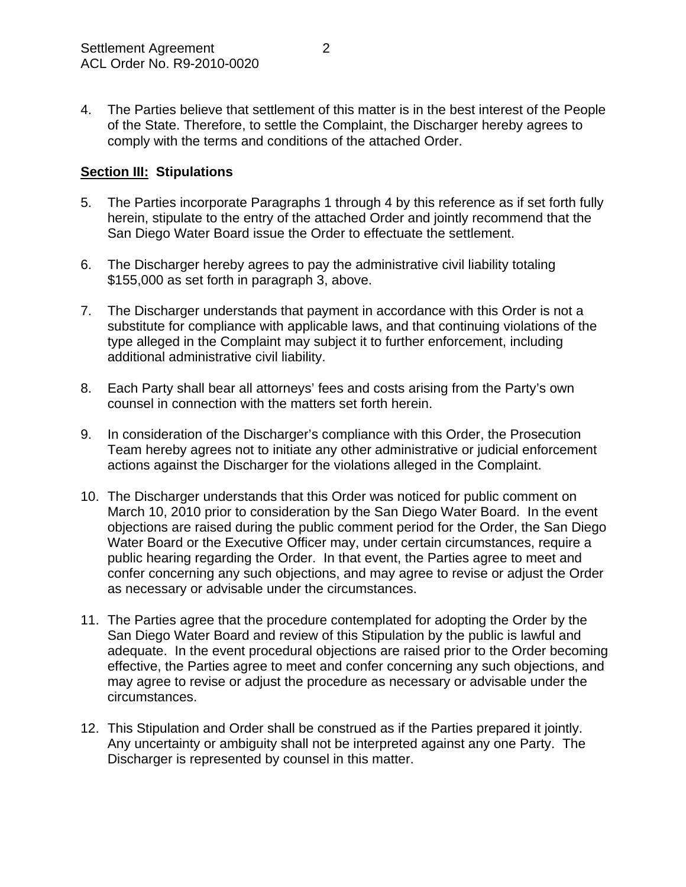4. The Parties believe that settlement of this matter is in the best interest of the People of the State. Therefore, to settle the Complaint, the Discharger hereby agrees to comply with the terms and conditions of the attached Order.

# **Section III: Stipulations**

- 5. The Parties incorporate Paragraphs 1 through 4 by this reference as if set forth fully herein, stipulate to the entry of the attached Order and jointly recommend that the San Diego Water Board issue the Order to effectuate the settlement.
- 6. The Discharger hereby agrees to pay the administrative civil liability totaling \$155,000 as set forth in paragraph 3, above.
- 7. The Discharger understands that payment in accordance with this Order is not a substitute for compliance with applicable laws, and that continuing violations of the type alleged in the Complaint may subject it to further enforcement, including additional administrative civil liability.
- 8. Each Party shall bear all attorneys' fees and costs arising from the Party's own counsel in connection with the matters set forth herein.
- 9. In consideration of the Discharger's compliance with this Order, the Prosecution Team hereby agrees not to initiate any other administrative or judicial enforcement actions against the Discharger for the violations alleged in the Complaint.
- 10. The Discharger understands that this Order was noticed for public comment on March 10, 2010 prior to consideration by the San Diego Water Board. In the event objections are raised during the public comment period for the Order, the San Diego Water Board or the Executive Officer may, under certain circumstances, require a public hearing regarding the Order. In that event, the Parties agree to meet and confer concerning any such objections, and may agree to revise or adjust the Order as necessary or advisable under the circumstances.
- 11. The Parties agree that the procedure contemplated for adopting the Order by the San Diego Water Board and review of this Stipulation by the public is lawful and adequate. In the event procedural objections are raised prior to the Order becoming effective, the Parties agree to meet and confer concerning any such objections, and may agree to revise or adjust the procedure as necessary or advisable under the circumstances.
- 12. This Stipulation and Order shall be construed as if the Parties prepared it jointly. Any uncertainty or ambiguity shall not be interpreted against any one Party. The Discharger is represented by counsel in this matter.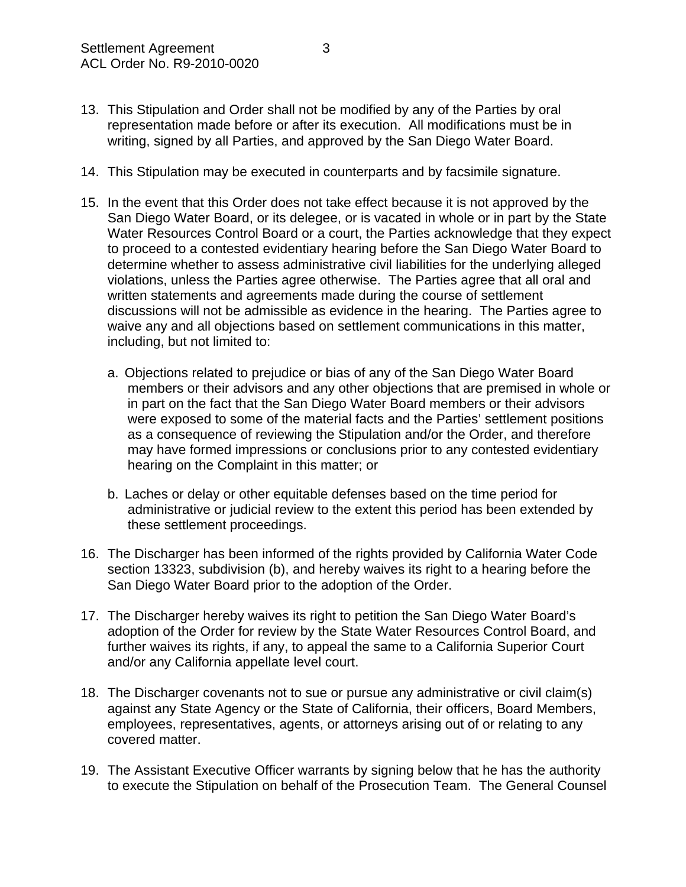- 13. This Stipulation and Order shall not be modified by any of the Parties by oral representation made before or after its execution. All modifications must be in writing, signed by all Parties, and approved by the San Diego Water Board.
- 14. This Stipulation may be executed in counterparts and by facsimile signature.
- 15. In the event that this Order does not take effect because it is not approved by the San Diego Water Board, or its delegee, or is vacated in whole or in part by the State Water Resources Control Board or a court, the Parties acknowledge that they expect to proceed to a contested evidentiary hearing before the San Diego Water Board to determine whether to assess administrative civil liabilities for the underlying alleged violations, unless the Parties agree otherwise. The Parties agree that all oral and written statements and agreements made during the course of settlement discussions will not be admissible as evidence in the hearing. The Parties agree to waive any and all objections based on settlement communications in this matter, including, but not limited to:
	- a. Objections related to prejudice or bias of any of the San Diego Water Board members or their advisors and any other objections that are premised in whole or in part on the fact that the San Diego Water Board members or their advisors were exposed to some of the material facts and the Parties' settlement positions as a consequence of reviewing the Stipulation and/or the Order, and therefore may have formed impressions or conclusions prior to any contested evidentiary hearing on the Complaint in this matter; or
	- b. Laches or delay or other equitable defenses based on the time period for administrative or judicial review to the extent this period has been extended by these settlement proceedings.
- 16. The Discharger has been informed of the rights provided by California Water Code section 13323, subdivision (b), and hereby waives its right to a hearing before the San Diego Water Board prior to the adoption of the Order.
- 17. The Discharger hereby waives its right to petition the San Diego Water Board's adoption of the Order for review by the State Water Resources Control Board, and further waives its rights, if any, to appeal the same to a California Superior Court and/or any California appellate level court.
- 18. The Discharger covenants not to sue or pursue any administrative or civil claim(s) against any State Agency or the State of California, their officers, Board Members, employees, representatives, agents, or attorneys arising out of or relating to any covered matter.
- 19. The Assistant Executive Officer warrants by signing below that he has the authority to execute the Stipulation on behalf of the Prosecution Team. The General Counsel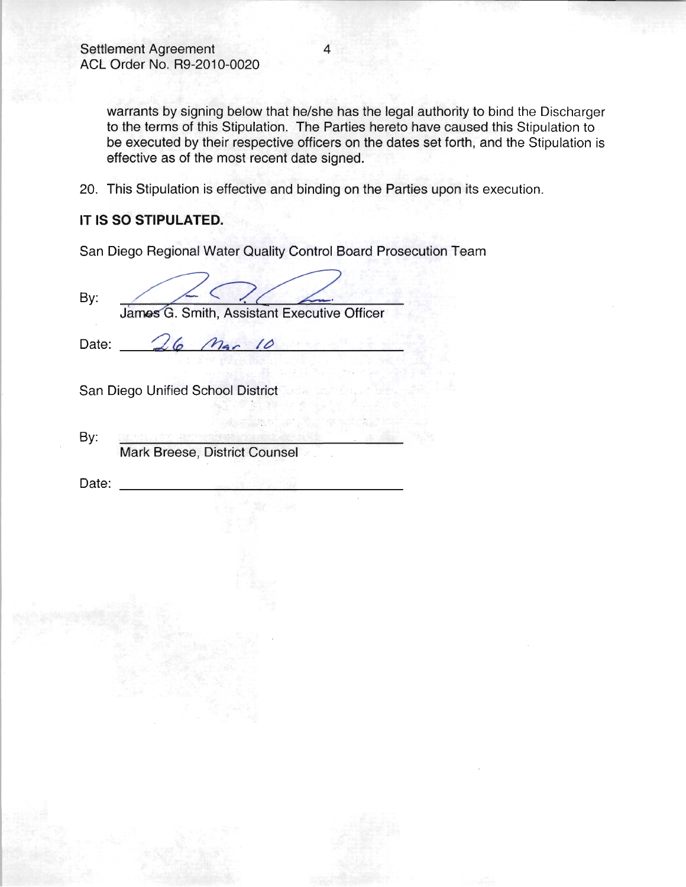warrants by signing below that he/she has the legal authority to bind the Discharger to the terms of this Stipulation. The Parties hereto have caused this Stipulation to be executed by their respective officers on the dates set forth, and the Stipulation is effective as of the most recent date signed.

20. This Stipulation is effective and binding on the Parties upon its execution.

### IT IS SO STIPULATED.

San Diego Regional Water Quality Control Board Prosecution Team

By:

Mar 10

James G. Smith, Assistant Executive Officer

Date:

San Diego Unified School District

 $16$ 

By:

Mark Breese, District Counsel

Date: